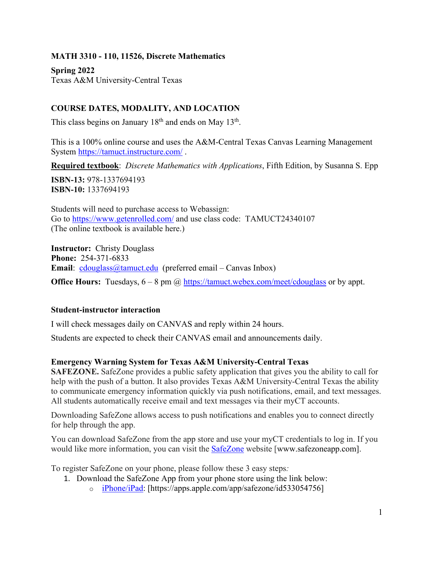**MATH 3310 - 110, 11526, Discrete Mathematics**

**Spring 2022** Texas A&M University-Central Texas

### **COURSE DATES, MODALITY, AND LOCATION**

This class begins on January  $18<sup>th</sup>$  and ends on May  $13<sup>th</sup>$ .

This is a 100% online course and uses the A&M-Central Texas Canvas Learning Management System<https://tamuct.instructure.com/> .

**Required textbook**: *Discrete Mathematics with Applications*, Fifth Edition, by Susanna S. Epp

**ISBN-13:** 978-1337694193 **ISBN-10:** 1337694193

Students will need to purchase access to Webassign: Go to<https://www.getenrolled.com/> and use class code: TAMUCT24340107 (The online textbook is available here.)

**Instructor:** Christy Douglass **Phone:** 254-371-6833 **Email**: [cdouglass@tamuct.edu](mailto:cdouglass@tamuct.edu) (preferred email – Canvas Inbox)

**Office Hours:** Tuesdays,  $6 - 8$  pm @ <https://tamuct.webex.com/meet/cdouglass> or by appt.

#### **Student-instructor interaction**

I will check messages daily on CANVAS and reply within 24 hours.

Students are expected to check their CANVAS email and announcements daily.

#### **Emergency Warning System for Texas A&M University-Central Texas**

**SAFEZONE.** SafeZone provides a public safety application that gives you the ability to call for help with the push of a button. It also provides Texas A&M University-Central Texas the ability to communicate emergency information quickly via push notifications, email, and text messages. All students automatically receive email and text messages via their myCT accounts.

Downloading SafeZone allows access to push notifications and enables you to connect directly for help through the app.

You can download SafeZone from the app store and use your myCT credentials to log in. If you would like more information, you can visit the [SafeZone](http://www.safezoneapp.com/) website [www.safezoneapp.com].

To register SafeZone on your phone, please follow these 3 easy steps*:*

- 1. Download the SafeZone App from your phone store using the link below:
	- o [iPhone/iPad:](https://apps.apple.com/app/safezone/id533054756) [https://apps.apple.com/app/safezone/id533054756]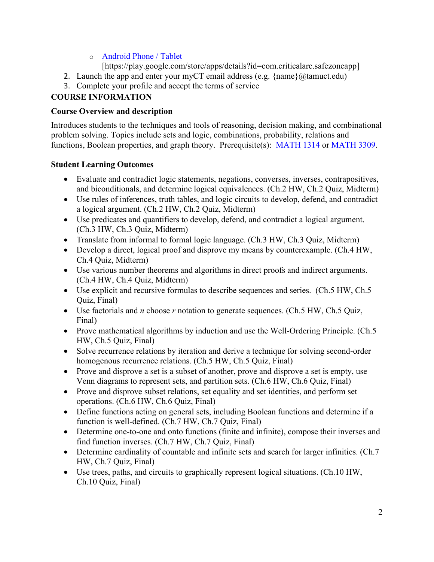### o [Android Phone / Tablet](https://play.google.com/store/apps/details?id=com.criticalarc.safezoneapp)

[https://play.google.com/store/apps/details?id=com.criticalarc.safezoneapp]

- 2. Launch the app and enter your myCT email address (e.g.  $\{\text{name}\}\langle\omega\rangle$  (a) amuct.edu)
- 3. Complete your profile and accept the terms of service

# **COURSE INFORMATION**

# **Course Overview and description**

Introduces students to the techniques and tools of reasoning, decision making, and combinational problem solving. Topics include sets and logic, combinations, probability, relations and functions, Boolean properties, and graph theory. Prerequisite(s): [MATH](http://catalog.tamuct.edu/search/?P=MATH%201314) 1314 or [MATH](http://catalog.tamuct.edu/search/?P=MATH%203309) 3309.

# **Student Learning Outcomes**

- Evaluate and contradict logic statements, negations, converses, inverses, contrapositives, and biconditionals, and determine logical equivalences. (Ch.2 HW, Ch.2 Quiz, Midterm)
- Use rules of inferences, truth tables, and logic circuits to develop, defend, and contradict a logical argument. (Ch.2 HW, Ch.2 Quiz, Midterm)
- Use predicates and quantifiers to develop, defend, and contradict a logical argument. (Ch.3 HW, Ch.3 Quiz, Midterm)
- Translate from informal to formal logic language. (Ch.3 HW, Ch.3 Quiz, Midterm)
- Develop a direct, logical proof and disprove my means by counterexample. (Ch.4 HW, Ch.4 Quiz, Midterm)
- Use various number theorems and algorithms in direct proofs and indirect arguments. (Ch.4 HW, Ch.4 Quiz, Midterm)
- Use explicit and recursive formulas to describe sequences and series. (Ch.5 HW, Ch.5 Quiz, Final)
- Use factorials and *n* choose *r* notation to generate sequences. (Ch.5 HW, Ch.5 Quiz, Final)
- Prove mathematical algorithms by induction and use the Well-Ordering Principle. (Ch.5) HW, Ch.5 Quiz, Final)
- Solve recurrence relations by iteration and derive a technique for solving second-order homogenous recurrence relations. (Ch.5 HW, Ch.5 Quiz, Final)
- Prove and disprove a set is a subset of another, prove and disprove a set is empty, use Venn diagrams to represent sets, and partition sets. (Ch.6 HW, Ch.6 Quiz, Final)
- Prove and disprove subset relations, set equality and set identities, and perform set operations. (Ch.6 HW, Ch.6 Quiz, Final)
- Define functions acting on general sets, including Boolean functions and determine if a function is well-defined. (Ch.7 HW, Ch.7 Quiz, Final)
- Determine one-to-one and onto functions (finite and infinite), compose their inverses and find function inverses. (Ch.7 HW, Ch.7 Quiz, Final)
- Determine cardinality of countable and infinite sets and search for larger infinities. (Ch.7) HW, Ch.7 Quiz, Final)
- Use trees, paths, and circuits to graphically represent logical situations. (Ch.10 HW, Ch.10 Quiz, Final)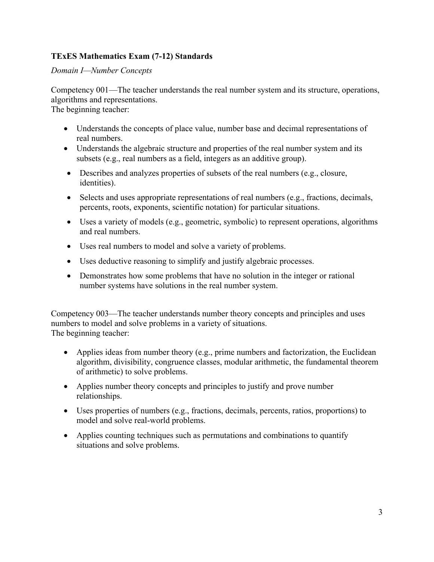### **TExES Mathematics Exam (7-12) Standards**

*Domain I—Number Concepts*

Competency 001—The teacher understands the real number system and its structure, operations, algorithms and representations.

The beginning teacher:

- Understands the concepts of place value, number base and decimal representations of real numbers.
- Understands the algebraic structure and properties of the real number system and its subsets (e.g., real numbers as a field, integers as an additive group).
- Describes and analyzes properties of subsets of the real numbers (e.g., closure, identities).
- Selects and uses appropriate representations of real numbers (e.g., fractions, decimals, percents, roots, exponents, scientific notation) for particular situations.
- Uses a variety of models (e.g., geometric, symbolic) to represent operations, algorithms and real numbers.
- Uses real numbers to model and solve a variety of problems.
- Uses deductive reasoning to simplify and justify algebraic processes.
- Demonstrates how some problems that have no solution in the integer or rational number systems have solutions in the real number system.

Competency 003—The teacher understands number theory concepts and principles and uses numbers to model and solve problems in a variety of situations. The beginning teacher:

- Applies ideas from number theory (e.g., prime numbers and factorization, the Euclidean algorithm, divisibility, congruence classes, modular arithmetic, the fundamental theorem of arithmetic) to solve problems.
- Applies number theory concepts and principles to justify and prove number relationships.
- Uses properties of numbers (e.g., fractions, decimals, percents, ratios, proportions) to model and solve real-world problems.
- Applies counting techniques such as permutations and combinations to quantify situations and solve problems.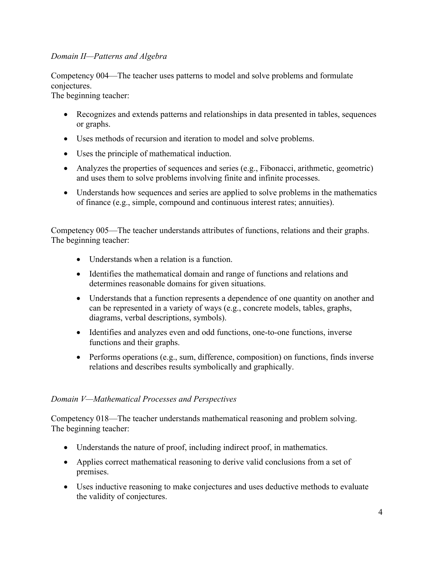### *Domain II—Patterns and Algebra*

Competency 004—The teacher uses patterns to model and solve problems and formulate conjectures.

The beginning teacher:

- Recognizes and extends patterns and relationships in data presented in tables, sequences or graphs.
- Uses methods of recursion and iteration to model and solve problems.
- Uses the principle of mathematical induction.
- Analyzes the properties of sequences and series (e.g., Fibonacci, arithmetic, geometric) and uses them to solve problems involving finite and infinite processes.
- Understands how sequences and series are applied to solve problems in the mathematics of finance (e.g., simple, compound and continuous interest rates; annuities).

Competency 005—The teacher understands attributes of functions, relations and their graphs. The beginning teacher:

- Understands when a relation is a function.
- Identifies the mathematical domain and range of functions and relations and determines reasonable domains for given situations.
- Understands that a function represents a dependence of one quantity on another and can be represented in a variety of ways (e.g., concrete models, tables, graphs, diagrams, verbal descriptions, symbols).
- Identifies and analyzes even and odd functions, one-to-one functions, inverse functions and their graphs.
- Performs operations (e.g., sum, difference, composition) on functions, finds inverse relations and describes results symbolically and graphically.

#### *Domain V—Mathematical Processes and Perspectives*

Competency 018—The teacher understands mathematical reasoning and problem solving. The beginning teacher:

- Understands the nature of proof, including indirect proof, in mathematics.
- Applies correct mathematical reasoning to derive valid conclusions from a set of premises.
- Uses inductive reasoning to make conjectures and uses deductive methods to evaluate the validity of conjectures.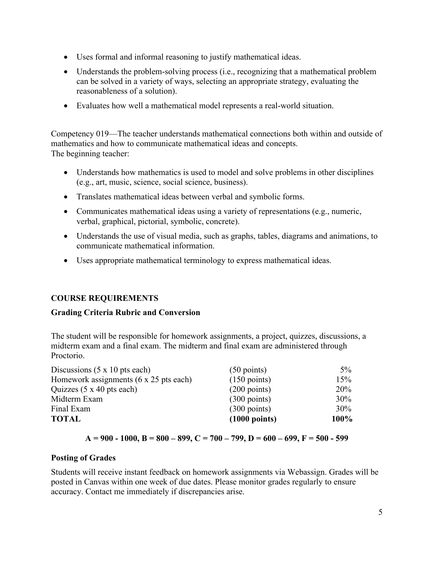- Uses formal and informal reasoning to justify mathematical ideas.
- Understands the problem-solving process (i.e., recognizing that a mathematical problem can be solved in a variety of ways, selecting an appropriate strategy, evaluating the reasonableness of a solution).
- Evaluates how well a mathematical model represents a real-world situation.

Competency 019—The teacher understands mathematical connections both within and outside of mathematics and how to communicate mathematical ideas and concepts. The beginning teacher:

- Understands how mathematics is used to model and solve problems in other disciplines (e.g., art, music, science, social science, business).
- Translates mathematical ideas between verbal and symbolic forms.
- Communicates mathematical ideas using a variety of representations (e.g., numeric, verbal, graphical, pictorial, symbolic, concrete).
- Understands the use of visual media, such as graphs, tables, diagrams and animations, to communicate mathematical information.
- Uses appropriate mathematical terminology to express mathematical ideas.

### **COURSE REQUIREMENTS**

#### **Grading Criteria Rubric and Conversion**

The student will be responsible for homework assignments, a project, quizzes, discussions, a midterm exam and a final exam. The midterm and final exam are administered through Proctorio.

| Discussions $(5 \times 10)$ pts each)          | $(50 \text{ points})$   | $5\%$       |
|------------------------------------------------|-------------------------|-------------|
| Homework assignments $(6 \times 25)$ pts each) | $(150 \text{ points})$  | 15%         |
| Quizzes $(5 \times 40)$ pts each)              | $(200 \text{ points})$  | <b>20%</b>  |
| Midterm Exam                                   | $(300 \text{ points})$  | 30%         |
| Final Exam                                     | $(300 \text{ points})$  | 30%         |
| <b>TOTAL</b>                                   | $(1000 \text{ points})$ | <b>100%</b> |

#### **A = 900 - 1000, B = 800 – 899, C = 700 – 799, D = 600 – 699, F = 500 - 599**

#### **Posting of Grades**

Students will receive instant feedback on homework assignments via Webassign. Grades will be posted in Canvas within one week of due dates. Please monitor grades regularly to ensure accuracy. Contact me immediately if discrepancies arise.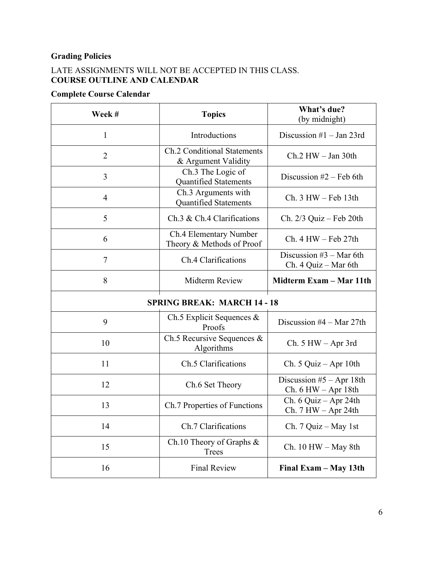# **Grading Policies**

# LATE ASSIGNMENTS WILL NOT BE ACCEPTED IN THIS CLASS. **COURSE OUTLINE AND CALENDAR**

# **Complete Course Calendar**

| Week#                              | <b>Topics</b>                                             | What's due?<br>(by midnight)                      |
|------------------------------------|-----------------------------------------------------------|---------------------------------------------------|
| 1                                  | Introductions                                             | Discussion $#1$ – Jan 23rd                        |
| $\overline{2}$                     | <b>Ch.2 Conditional Statements</b><br>& Argument Validity | $Ch.2$ HW $-$ Jan 30th                            |
| 3                                  | Ch.3 The Logic of<br><b>Quantified Statements</b>         | Discussion $#2$ – Feb 6th                         |
| $\overline{4}$                     | Ch.3 Arguments with<br><b>Quantified Statements</b>       | $Ch. 3 HW - Feb 13th$                             |
| 5                                  | Ch.3 & Ch.4 Clarifications                                | Ch. $2/3$ Quiz – Feb 20th                         |
| 6                                  | Ch.4 Elementary Number<br>Theory & Methods of Proof       | $Ch. 4 HW - Feb 27th$                             |
| $\overline{7}$                     | Ch.4 Clarifications                                       | Discussion $#3$ – Mar 6th<br>Ch. 4 Quiz - Mar 6th |
| 8                                  | Midterm Review                                            | Midterm Exam - Mar 11th                           |
| <b>SPRING BREAK: MARCH 14 - 18</b> |                                                           |                                                   |
| 9                                  | Ch.5 Explicit Sequences $&$<br>Proofs                     | Discussion $#4 - Mar 27th$                        |
| 10                                 | Ch.5 Recursive Sequences $&$<br>Algorithms                | $Ch. 5 HW - Apr 3rd$                              |
| 11                                 | Ch.5 Clarifications                                       | Ch. 5 Quiz $-$ Apr 10th                           |
| 12                                 | Ch.6 Set Theory                                           | Discussion $#5 - Apr 18th$<br>Ch. 6 HW – Apr 18th |
| 13                                 | Ch.7 Properties of Functions                              | Ch. 6 Quiz - Apr 24th<br>Ch. 7 HW – Apr 24th      |
| 14                                 | Ch.7 Clarifications                                       | Ch. $7$ Quiz - May 1st                            |
| 15                                 | Ch.10 Theory of Graphs $&$<br><b>Trees</b>                | $Ch. 10 HW - May 8th$                             |
| 16                                 | <b>Final Review</b>                                       | Final Exam - May 13th                             |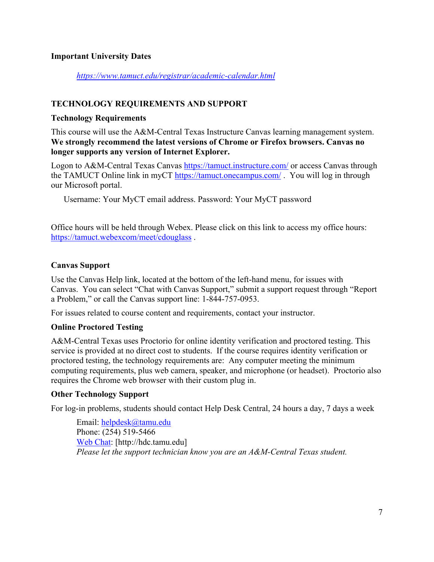### **Important University Dates**

#### *<https://www.tamuct.edu/registrar/academic-calendar.html>*

#### **TECHNOLOGY REQUIREMENTS AND SUPPORT**

#### **Technology Requirements**

This course will use the A&M-Central Texas Instructure Canvas learning management system. **We strongly recommend the latest versions of Chrome or Firefox browsers. Canvas no longer supports any version of Internet Explorer.**

Logon to A&M-Central Texas Canvas<https://tamuct.instructure.com/> or access Canvas through the TAMUCT Online link in myCT<https://tamuct.onecampus.com/>. You will log in through our Microsoft portal.

Username: Your MyCT email address. Password: Your MyCT password

Office hours will be held through Webex. Please click on this link to access my office hours: <https://tamuct.webexcom/meet/cdouglass> .

#### **Canvas Support**

Use the Canvas Help link, located at the bottom of the left-hand menu, for issues with Canvas. You can select "Chat with Canvas Support," submit a support request through "Report a Problem," or call the Canvas support line: 1-844-757-0953.

For issues related to course content and requirements, contact your instructor.

#### **Online Proctored Testing**

A&M-Central Texas uses Proctorio for online identity verification and proctored testing. This service is provided at no direct cost to students. If the course requires identity verification or proctored testing, the technology requirements are: Any computer meeting the minimum computing requirements, plus web camera, speaker, and microphone (or headset). Proctorio also requires the Chrome web browser with their custom plug in.

#### **Other Technology Support**

For log-in problems, students should contact Help Desk Central, 24 hours a day, 7 days a week

Email: [helpdesk@tamu.edu](mailto:helpdesk@tamu.edu) Phone: (254) 519-5466 [Web Chat:](http://hdc.tamu.edu/) [http://hdc.tamu.edu] *Please let the support technician know you are an A&M-Central Texas student.*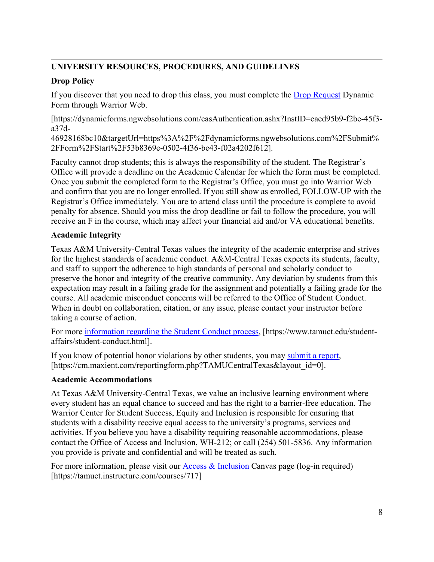# **UNIVERSITY RESOURCES, PROCEDURES, AND GUIDELINES**

# **Drop Policy**

If you discover that you need to drop this class, you must complete the [Drop Request](https://dynamicforms.ngwebsolutions.com/casAuthentication.ashx?InstID=eaed95b9-f2be-45f3-a37d-46928168bc10&targetUrl=https%3A%2F%2Fdynamicforms.ngwebsolutions.com%2FSubmit%2FForm%2FStart%2F53b8369e-0502-4f36-be43-f02a4202f612) Dynamic Form through Warrior Web.

[https://dynamicforms.ngwebsolutions.com/casAuthentication.ashx?InstID=eaed95b9-f2be-45f3 a37d-

46928168bc10&targetUrl=https%3A%2F%2Fdynamicforms.ngwebsolutions.com%2FSubmit% 2FForm%2FStart%2F53b8369e-0502-4f36-be43-f02a4202f612].

Faculty cannot drop students; this is always the responsibility of the student. The Registrar's Office will provide a deadline on the Academic Calendar for which the form must be completed. Once you submit the completed form to the Registrar's Office, you must go into Warrior Web and confirm that you are no longer enrolled. If you still show as enrolled, FOLLOW-UP with the Registrar's Office immediately. You are to attend class until the procedure is complete to avoid penalty for absence. Should you miss the drop deadline or fail to follow the procedure, you will receive an F in the course, which may affect your financial aid and/or VA educational benefits.

# **Academic Integrity**

Texas A&M University-Central Texas values the integrity of the academic enterprise and strives for the highest standards of academic conduct. A&M-Central Texas expects its students, faculty, and staff to support the adherence to high standards of personal and scholarly conduct to preserve the honor and integrity of the creative community. Any deviation by students from this expectation may result in a failing grade for the assignment and potentially a failing grade for the course. All academic misconduct concerns will be referred to the Office of Student Conduct. When in doubt on collaboration, citation, or any issue, please contact your instructor before taking a course of action.

For more [information](https://nam04.safelinks.protection.outlook.com/?url=https%3A%2F%2Fwww.tamuct.edu%2Fstudent-affairs%2Fstudent-conduct.html&data=04%7C01%7Clisa.bunkowski%40tamuct.edu%7Ccfb6e486f24745f53e1a08d910055cb2%7C9eed4e3000f744849ff193ad8005acec%7C0%7C0%7C637558437485252160%7CUnknown%7CTWFpbGZsb3d8eyJWIjoiMC4wLjAwMDAiLCJQIjoiV2luMzIiLCJBTiI6Ik1haWwiLCJXVCI6Mn0%3D%7C1000&sdata=yjftDEVHvLX%2FhM%2FcFU0B99krV1RgEWR%2BJ%2BhvtoR6TYk%3D&reserved=0) regarding the Student Conduct process, [https://www.tamuct.edu/studentaffairs/student-conduct.html].

If you know of potential honor violations by other students, you may [submit](https://nam04.safelinks.protection.outlook.com/?url=https%3A%2F%2Fcm.maxient.com%2Freportingform.php%3FTAMUCentralTexas%26layout_id%3D0&data=04%7C01%7Clisa.bunkowski%40tamuct.edu%7Ccfb6e486f24745f53e1a08d910055cb2%7C9eed4e3000f744849ff193ad8005acec%7C0%7C0%7C637558437485262157%7CUnknown%7CTWFpbGZsb3d8eyJWIjoiMC4wLjAwMDAiLCJQIjoiV2luMzIiLCJBTiI6Ik1haWwiLCJXVCI6Mn0%3D%7C1000&sdata=CXGkOa6uPDPX1IMZ87z3aZDq2n91xfHKu4MMS43Ejjk%3D&reserved=0) a report, [https://cm.maxient.com/reportingform.php?TAMUCentralTexas&layout\_id=0].

### **Academic Accommodations**

At Texas A&M University-Central Texas, we value an inclusive learning environment where every student has an equal chance to succeed and has the right to a barrier-free education. The Warrior Center for Student Success, Equity and Inclusion is responsible for ensuring that students with a disability receive equal access to the university's programs, services and activities. If you believe you have a disability requiring reasonable accommodations, please contact the Office of Access and Inclusion, WH-212; or call (254) 501-5836. Any information you provide is private and confidential and will be treated as such.

For more information, please visit our [Access & Inclusion](https://tamuct.instructure.com/courses/717) Canvas page (log-in required) [https://tamuct.instructure.com/courses/717]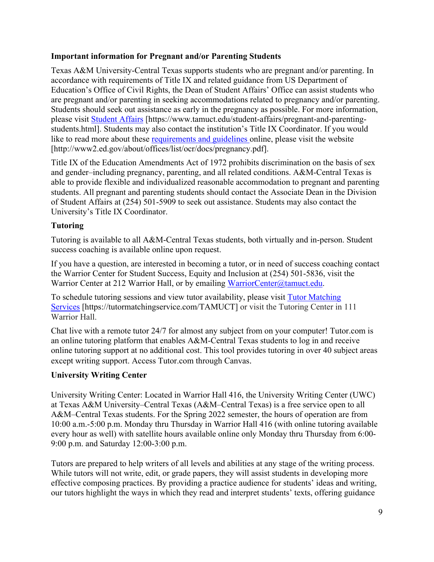### **Important information for Pregnant and/or Parenting Students**

Texas A&M University-Central Texas supports students who are pregnant and/or parenting. In accordance with requirements of Title IX and related guidance from US Department of Education's Office of Civil Rights, the Dean of Student Affairs' Office can assist students who are pregnant and/or parenting in seeking accommodations related to pregnancy and/or parenting. Students should seek out assistance as early in the pregnancy as possible. For more information, please visit [Student Affairs](https://www.tamuct.edu/student-affairs/pregnant-and-parenting-students.html) [https://www.tamuct.edu/student-affairs/pregnant-and-parentingstudents.html]. Students may also contact the institution's Title IX Coordinator. If you would like to read more about these [requirements and guidelines](http://www2.ed.gov/about/offices/list/ocr/docs/pregnancy.pdf) online, please visit the website [http://www2.ed.gov/about/offices/list/ocr/docs/pregnancy.pdf].

Title IX of the Education Amendments Act of 1972 prohibits discrimination on the basis of sex and gender–including pregnancy, parenting, and all related conditions. A&M-Central Texas is able to provide flexible and individualized reasonable accommodation to pregnant and parenting students. All pregnant and parenting students should contact the Associate Dean in the Division of Student Affairs at (254) 501-5909 to seek out assistance. Students may also contact the University's Title IX Coordinator.

### **Tutoring**

Tutoring is available to all A&M-Central Texas students, both virtually and in-person. Student success coaching is available online upon request.

If you have a question, are interested in becoming a tutor, or in need of success coaching contact the Warrior Center for Student Success, Equity and Inclusion at (254) 501-5836, visit the Warrior Center at 212 Warrior Hall, or by emailing [WarriorCenter@tamuct.edu.](mailto:WarriorCenter@tamuct.edu)

To schedule tutoring sessions and view tutor availability, please visit Tutor [Matching](https://tutormatchingservice.com/TAMUCT) [Services](https://tutormatchingservice.com/TAMUCT) [https://tutormatchingservice.com/TAMUCT] or visit the Tutoring Center in 111 Warrior Hall.

Chat live with a remote tutor 24/7 for almost any subject from on your computer! Tutor.com is an online tutoring platform that enables A&M-Central Texas students to log in and receive online tutoring support at no additional cost. This tool provides tutoring in over 40 subject areas except writing support. Access Tutor.com through Canvas.

#### **University Writing Center**

University Writing Center: Located in Warrior Hall 416, the University Writing Center (UWC) at Texas A&M University–Central Texas (A&M–Central Texas) is a free service open to all A&M–Central Texas students. For the Spring 2022 semester, the hours of operation are from 10:00 a.m.-5:00 p.m. Monday thru Thursday in Warrior Hall 416 (with online tutoring available every hour as well) with satellite hours available online only Monday thru Thursday from 6:00- 9:00 p.m. and Saturday 12:00-3:00 p.m.

Tutors are prepared to help writers of all levels and abilities at any stage of the writing process. While tutors will not write, edit, or grade papers, they will assist students in developing more effective composing practices. By providing a practice audience for students' ideas and writing, our tutors highlight the ways in which they read and interpret students' texts, offering guidance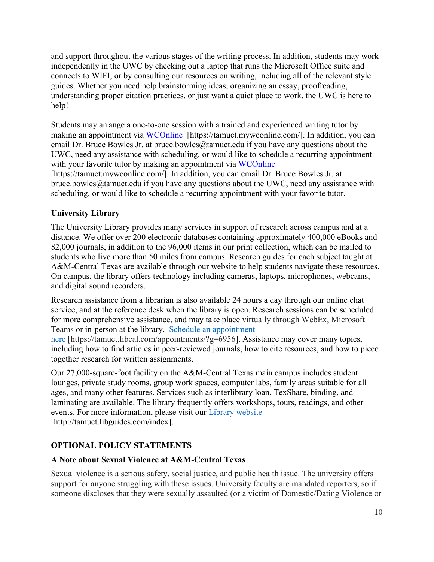and support throughout the various stages of the writing process. In addition, students may work independently in the UWC by checking out a laptop that runs the Microsoft Office suite and connects to WIFI, or by consulting our resources on writing, including all of the relevant style guides. Whether you need help brainstorming ideas, organizing an essay, proofreading, understanding proper citation practices, or just want a quiet place to work, the UWC is here to help!

Students may arrange a one-to-one session with a trained and experienced writing tutor by making an appointment via [WCOnline](https://tamuct.mywconline.com/) [https://tamuct.mywconline.com/]. In addition, you can email Dr. Bruce Bowles Jr. at bruce.bowles@tamuct.edu if you have any questions about the UWC, need any assistance with scheduling, or would like to schedule a recurring appointment with your favorite tutor by making an appointment via [WCOnline](https://tamuct.mywconline.com/)

[https://tamuct.mywconline.com/]. In addition, you can email Dr. Bruce Bowles Jr. at bruce.bowles@tamuct.edu if you have any questions about the UWC, need any assistance with scheduling, or would like to schedule a recurring appointment with your favorite tutor.

### **University Library**

The University Library provides many services in support of research across campus and at a distance. We offer over 200 electronic databases containing approximately 400,000 eBooks and 82,000 journals, in addition to the 96,000 items in our print collection, which can be mailed to students who live more than 50 miles from campus. Research guides for each subject taught at A&M-Central Texas are available through our website to help students navigate these resources. On campus, the library offers technology including cameras, laptops, microphones, webcams, and digital sound recorders.

Research assistance from a librarian is also available 24 hours a day through our online chat service, and at the reference desk when the library is open. Research sessions can be scheduled for more comprehensive assistance, and may take place virtually through WebEx, Microsoft Teams or in-person at the library. Schedule an [appointment](https://nam04.safelinks.protection.outlook.com/?url=https%3A%2F%2Ftamuct.libcal.com%2Fappointments%2F%3Fg%3D6956&data=04%7C01%7Clisa.bunkowski%40tamuct.edu%7Cde2c07d9f5804f09518008d9ab7ba6ff%7C9eed4e3000f744849ff193ad8005acec%7C0%7C0%7C637729369835011558%7CUnknown%7CTWFpbGZsb3d8eyJWIjoiMC4wLjAwMDAiLCJQIjoiV2luMzIiLCJBTiI6Ik1haWwiLCJXVCI6Mn0%3D%7C3000&sdata=KhtjgRSAw9aq%2FoBsB6wyu8b7PSuGN5EGPypzr3Ty2No%3D&reserved=0)

[here](https://nam04.safelinks.protection.outlook.com/?url=https%3A%2F%2Ftamuct.libcal.com%2Fappointments%2F%3Fg%3D6956&data=04%7C01%7Clisa.bunkowski%40tamuct.edu%7Cde2c07d9f5804f09518008d9ab7ba6ff%7C9eed4e3000f744849ff193ad8005acec%7C0%7C0%7C637729369835011558%7CUnknown%7CTWFpbGZsb3d8eyJWIjoiMC4wLjAwMDAiLCJQIjoiV2luMzIiLCJBTiI6Ik1haWwiLCJXVCI6Mn0%3D%7C3000&sdata=KhtjgRSAw9aq%2FoBsB6wyu8b7PSuGN5EGPypzr3Ty2No%3D&reserved=0) [https://tamuct.libcal.com/appointments/?g=6956]. Assistance may cover many topics, including how to find articles in peer-reviewed journals, how to cite resources, and how to piece together research for written assignments.

Our 27,000-square-foot facility on the A&M-Central Texas main campus includes student lounges, private study rooms, group work spaces, computer labs, family areas suitable for all ages, and many other features. Services such as interlibrary loan, TexShare, binding, and laminating are available. The library frequently offers workshops, tours, readings, and other events. For more information, please visit our Library [website](https://nam04.safelinks.protection.outlook.com/?url=https%3A%2F%2Ftamuct.libguides.com%2Findex&data=04%7C01%7Clisa.bunkowski%40tamuct.edu%7C7d8489e8839a4915335f08d916f067f2%7C9eed4e3000f744849ff193ad8005acec%7C0%7C0%7C637566044056484222%7CUnknown%7CTWFpbGZsb3d8eyJWIjoiMC4wLjAwMDAiLCJQIjoiV2luMzIiLCJBTiI6Ik1haWwiLCJXVCI6Mn0%3D%7C1000&sdata=2R755V6rcIyedGrd4Os5rkgn1PvhHKU3kUV1vBKiHFo%3D&reserved=0) [http://tamuct.libguides.com/index].

# **OPTIONAL POLICY STATEMENTS**

### **A Note about Sexual Violence at A&M-Central Texas**

Sexual violence is a serious safety, social justice, and public health issue. The university offers support for anyone struggling with these issues. University faculty are mandated reporters, so if someone discloses that they were sexually assaulted (or a victim of Domestic/Dating Violence or